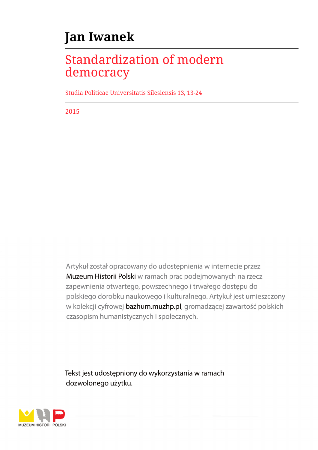## **Jan Iwanek**

## Standardization of modern democracy

Studia Politicae Universitatis Silesiensis 13, 13-24

2015

Artykuł został opracowany do udostępnienia w internecie przez Muzeum Historii Polski w ramach prac podejmowanych na rzecz zapewnienia otwartego, powszechnego i trwałego dostępu do polskiego dorobku naukowego i kulturalnego. Artykuł jest umieszczony w kolekcji cyfrowej bazhum.muzhp.pl, gromadzącej zawartość polskich czasopism humanistycznych i społecznych.

Tekst jest udostępniony do wykorzystania w ramach dozwolonego użytku.

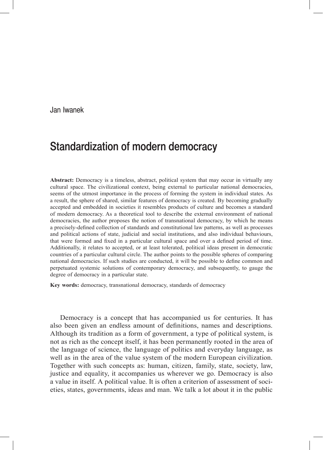Jan Iwanek

## Standardization of modern democracy

**Abstract:** Democracy is a timeless, abstract, political system that may occur in virtually any cultural space. The civilizational context, being external to particular national democracies, seems of the utmost importance in the process of forming the system in individual states. As a result, the sphere of shared, similar features of democracy is created. By becoming gradually accepted and embedded in societies it resembles products of culture and becomes a standard of modern democracy. As a theoretical tool to describe the external environment of national democracies, the author proposes the notion of transnational democracy, by which he means a precisely‑defined collection of standards and constitutional law patterns, as well as processes and political actions of state, judicial and social institutions, and also individual behaviours, that were formed and fixed in a particular cultural space and over a defined period of time. Additionally, it relates to accepted, or at least tolerated, political ideas present in democratic countries of a particular cultural circle. The author points to the possible spheres of comparing national democracies. If such studies are conducted, it will be possible to define common and perpetuated systemic solutions of contemporary democracy, and subsequently, to gauge the degree of democracy in a particular state.

**Key words:** democracy, transnational democracy, standards of democracy

Democracy is a concept that has accompanied us for centuries. It has also been given an endless amount of definitions, names and descriptions. Although its tradition as a form of government, a type of political system, is not as rich as the concept itself, it has been permanently rooted in the area of the language of science, the language of politics and everyday language, as well as in the area of the value system of the modern European civilization. Together with such concepts as: human, citizen, family, state, society, law, justice and equality, it accompanies us wherever we go. Democracy is also a value in itself. A political value. It is often a criterion of assessment of societies, states, governments, ideas and man. We talk a lot about it in the public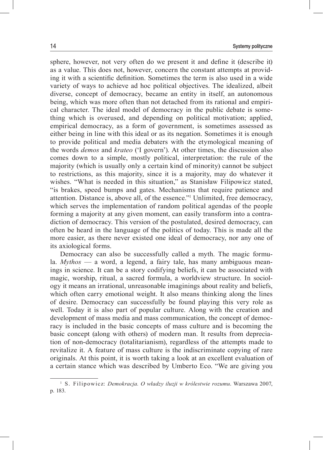sphere, however, not very often do we present it and define it (describe it) as a value. This does not, however, concern the constant attempts at providing it with a scientific definition. Sometimes the term is also used in a wide variety of ways to achieve ad hoc political objectives. The idealized, albeit diverse, concept of democracy, became an entity in itself, an autonomous being, which was more often than not detached from its rational and empirical character. The ideal model of democracy in the public debate is something which is overused, and depending on political motivation; applied, empirical democracy, as a form of government, is sometimes assessed as either being in line with this ideal or as its negation. Sometimes it is enough to provide political and media debaters with the etymological meaning of the words *demos* and *krateo* ('I govern'). At other times, the discussion also comes down to a simple, mostly political, interpretation: the rule of the majority (which is usually only a certain kind of minority) cannot be subject to restrictions, as this majority, since it is a majority, may do whatever it wishes. "What is needed in this situation," as Stanisław Filipowicz stated, "is brakes, speed bumps and gates. Mechanisms that require patience and attention. Distance is, above all, of the essence."1 Unlimited, free democracy, which serves the implementation of random political agendas of the people forming a majority at any given moment, can easily transform into a contradiction of democracy. This version of the postulated, desired democracy, can often be heard in the language of the politics of today. This is made all the more easier, as there never existed one ideal of democracy, nor any one of its axiological forms.

Democracy can also be successfully called a myth. The magic formula. *Mythos* — a word, a legend, a fairy tale, has many ambiguous meanings in science. It can be a story codifying beliefs, it can be associated with magic, worship, ritual, a sacred formula, a worldview structure. In sociology it means an irrational, unreasonable imaginings about reality and beliefs, which often carry emotional weight. It also means thinking along the lines of desire. Democracy can successfully be found playing this very role as well. Today it is also part of popular culture. Along with the creation and development of mass media and mass communication, the concept of democracy is included in the basic concepts of mass culture and is becoming the basic concept (along with others) of modern man. It results from depreciation of non‑democracy (totalitarianism), regardless of the attempts made to revitalize it. A feature of mass culture is the indiscriminate copying of rare originals. At this point, it is worth taking a look at an excellent evaluation of a certain stance which was described by Umberto Eco. "We are giving you

<sup>1</sup> S. Filipowicz: *Demokracja. O władzy iluzji w królestwie rozumu*. Warszawa 2007, p. 183.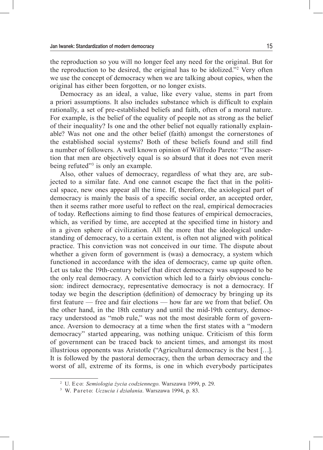the reproduction so you will no longer feel any need for the original. But for the reproduction to be desired, the original has to be idolized."<sup>2</sup> Very often we use the concept of democracy when we are talking about copies, when the original has either been forgotten, or no longer exists.

Democracy as an ideal, a value, like every value, stems in part from a priori assumptions. It also includes substance which is difficult to explain rationally, a set of pre‑established beliefs and faith, often of a moral nature. For example, is the belief of the equality of people not as strong as the belief of their inequality? Is one and the other belief not equally rationally explain‑ able? Was not one and the other belief (faith) amongst the cornerstones of the established social systems? Both of these beliefs found and still find a number of followers. A well known opinion of Wilfredo Pareto: "The assertion that men are objectively equal is so absurd that it does not even merit being refuted"<sup>3</sup> is only an example.

Also, other values of democracy, regardless of what they are, are subjected to a similar fate. And one cannot escape the fact that in the political space, new ones appear all the time. If, therefore, the axiological part of democracy is mainly the basis of a specific social order, an accepted order, then it seems rather more useful to reflect on the real, empirical democracies of today. Reflections aiming to find those features of empirical democracies, which, as verified by time, are accepted at the specified time in history and in a given sphere of civilization. All the more that the ideological understanding of democracy, to a certain extent, is often not aligned with political practice. This conviction was not conceived in our time. The dispute about whether a given form of government is (was) a democracy, a system which functioned in accordance with the idea of democracy, came up quite often. Let us take the 19th–century belief that direct democracy was supposed to be the only real democracy. A conviction which led to a fairly obvious conclusion: indirect democracy, representative democracy is not a democracy. If today we begin the description (definition) of democracy by bringing up its first feature — free and fair elections — how far are we from that belief. On the other hand, in the 18th century and until the mid-19th century, democracy understood as "mob rule," was not the most desirable form of governance. Aversion to democracy at a time when the first states with a "modern democracy" started appearing, was nothing unique. Criticism of this form of government can be traced back to ancient times, and amongst its most illustrious opponents was Aristotle ("Agricultural democracy is the best […]. It is followed by the pastoral democracy, then the urban democracy and the worst of all, extreme of its forms, is one in which everybody participates

<sup>2</sup> U. Eco: *Semiologia życia codziennego*. Warszawa 1999, p. 29.

<sup>3</sup> W. Pareto: *Uczucia i działania*. Warszawa 1994, p. 83.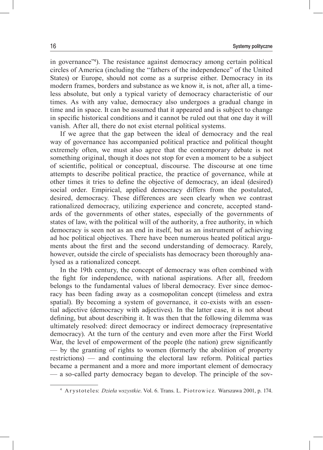in governance"<sup>4</sup> ). The resistance against democracy among certain political circles of America (including the "fathers of the independence" of the United States) or Europe, should not come as a surprise either. Democracy in its modern frames, borders and substance as we know it, is not, after all, a timeless absolute, but only a typical variety of democracy characteristic of our times. As with any value, democracy also undergoes a gradual change in time and in space. It can be assumed that it appeared and is subject to change in specific historical conditions and it cannot be ruled out that one day it will vanish. After all, there do not exist eternal political systems.

If we agree that the gap between the ideal of democracy and the real way of governance has accompanied political practice and political thought extremely often, we must also agree that the contemporary debate is not something original, though it does not stop for even a moment to be a subject of scientific, political or conceptual, discourse. The discourse at one time attempts to describe political practice, the practice of governance, while at other times it tries to define the objective of democracy, an ideal (desired) social order. Empirical, applied democracy differs from the postulated, desired, democracy. These differences are seen clearly when we contrast rationalized democracy, utilizing experience and concrete, accepted standards of the governments of other states, especially of the governments of states of law, with the political will of the authority, a free authority, in which democracy is seen not as an end in itself, but as an instrument of achieving ad hoc political objectives. There have been numerous heated political arguments about the first and the second understanding of democracy. Rarely, however, outside the circle of specialists has democracy been thoroughly analysed as a rationalized concept.

In the 19th century, the concept of democracy was often combined with the fight for independence, with national aspirations. After all, freedom belongs to the fundamental values of liberal democracy. Ever since democracy has been fading away as a cosmopolitan concept (timeless and extra spatial). By becoming a system of governance, it co-exists with an essential adjective (democracy with adjectives). In the latter case, it is not about defining, but about describing it. It was then that the following dilemma was ultimately resolved: direct democracy or indirect democracy (representative democracy). At the turn of the century and even more after the First World War, the level of empowerment of the people (the nation) grew significantly — by the granting of rights to women (formerly the abolition of property restrictions) — and continuing the electoral law reform. Political parties became a permanent and a more and more important element of democracy — a so-called party democracy began to develop. The principle of the sov-

<sup>&</sup>lt;sup>4</sup> Arystoteles: *Dzieła wszystkie*. Vol. 6. Trans. L. Piotrowicz. Warszawa 2001, p. 174.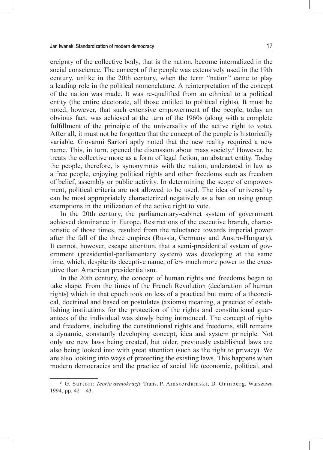ereignty of the collective body, that is the nation, become internalized in the social conscience. The concept of the people was extensively used in the 19th century, unlike in the 20th century, when the term "nation" came to play a leading role in the political nomenclature. A reinterpretation of the concept of the nation was made. It was re‑qualified from an ethnical to a political entity (the entire electorate, all those entitled to political rights). It must be noted, however, that such extensive empowerment of the people, today an obvious fact, was achieved at the turn of the 1960s (along with a complete fulfillment of the principle of the universality of the active right to vote). After all, it must not be forgotten that the concept of the people is historically variable. Giovanni Sartori aptly noted that the new reality required a new name. This, in turn, opened the discussion about mass society.<sup>5</sup> However, he treats the collective more as a form of legal fiction, an abstract entity. Today the people, therefore, is synonymous with the nation, understood in law as a free people, enjoying political rights and other freedoms such as freedom of belief, assembly or public activity. In determining the scope of empowerment, political criteria are not allowed to be used. The idea of universality can be most appropriately characterized negatively as a ban on using group exemptions in the utilization of the active right to vote.

In the 20th century, the parliamentary–cabinet system of government achieved dominance in Europe. Restrictions of the executive branch, characteristic of those times, resulted from the reluctance towards imperial power after the fall of the three empires (Russia, Germany and Austro‑Hungary). It cannot, however, escape attention, that a semi-presidential system of government (presidential-parliamentary system) was developing at the same time, which, despite its deceptive name, offers much more power to the executive than American presidentialism.

In the 20th century, the concept of human rights and freedoms began to take shape. From the times of the French Revolution (declaration of human rights) which in that epoch took on less of a practical but more of a theoretical, doctrinal and based on postulates (axioms) meaning, a practice of establishing institutions for the protection of the rights and constitutional guar– antees of the individual was slowly being introduced. The concept of rights and freedoms, including the constitutional rights and freedoms, still remains a dynamic, constantly developing concept, idea and system principle. Not only are new laws being created, but older, previously established laws are also being looked into with great attention (such as the right to privacy). We are also looking into ways of protecting the existing laws. This happens when modern democracies and the practice of social life (economic, political, and

<sup>&</sup>lt;sup>5</sup> G. Sartori: *Teoria demokracji*. Trans. P. Amsterdamski, D. Grinberg. Warszawa 1994, pp. 42—43.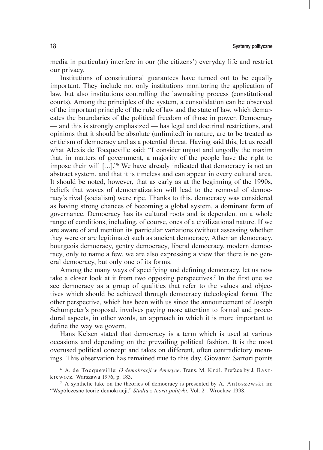media in particular) interfere in our (the citizens') everyday life and restrict our privacy.

Institutions of constitutional guarantees have turned out to be equally important. They include not only institutions monitoring the application of law, but also institutions controlling the lawmaking process (constitutional courts). Among the principles of the system, a consolidation can be observed of the important principle of the rule of law and the state of law, which demarcates the boundaries of the political freedom of those in power. Democracy — and this is strongly emphasized — has legal and doctrinal restrictions, and opinions that it should be absolute (unlimited) in nature, are to be treated as criticism of democracy and as a potential threat. Having said this, let us recall what Alexis de Tocqueville said: "I consider unjust and ungodly the maxim that, in matters of government, a majority of the people have the right to impose their will […]."<sup>6</sup> We have already indicated that democracy is not an abstract system, and that it is timeless and can appear in every cultural area. It should be noted, however, that as early as at the beginning of the 1990s, beliefs that waves of democratization will lead to the removal of democracy's rival (socialism) were ripe. Thanks to this, democracy was considered as having strong chances of becoming a global system, a dominant form of governance. Democracy has its cultural roots and is dependent on a whole range of conditions, including, of course, ones of a civilizational nature. If we are aware of and mention its particular variations (without assessing whether they were or are legitimate) such as ancient democracy, Athenian democracy, bourgeois democracy, gentry democracy, liberal democracy, modern democracy, only to name a few, we are also expressing a view that there is no general democracy, but only one of its forms.

Among the many ways of specifying and defining democracy, let us now take a closer look at it from two opposing perspectives.<sup>7</sup> In the first one we see democracy as a group of qualities that refer to the values and objectives which should be achieved through democracy (teleological form). The other perspective, which has been with us since the announcement of Joseph Schumpeter's proposal, involves paying more attention to formal and procedural aspects, in other words, an approach in which it is more important to define the way we govern.

Hans Kelsen stated that democracy is a term which is used at various occasions and depending on the prevailing political fashion. It is the most overused political concept and takes on different, often contradictory meanings. This observation has remained true to this day. Giovanni Sartori points

<sup>&</sup>lt;sup>6</sup> A. de Tocqueville: *O demokracji w Ameryce*. Trans. M. Król. Preface by J. Baszk iewicz. Warszawa 1976, p. 183.

 $7$  A synthetic take on the theories of democracy is presented by A. Antoszewski in: "Współczesne teorie demokracji." *Studia z teorii polityki*. Vol. 2 . Wrocław 1998.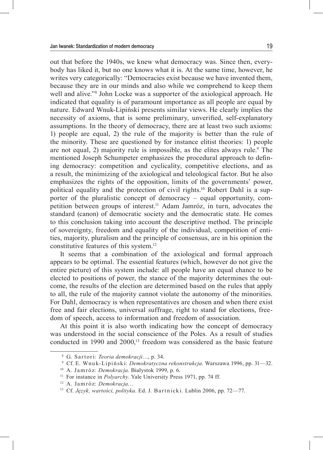out that before the 1940s, we knew what democracy was. Since then, every– body has liked it, but no one knows what it is. At the same time, however, he writes very categorically: "Democracies exist because we have invented them, because they are in our minds and also while we comprehend to keep them well and alive."<sup>8</sup> John Locke was a supporter of the axiological approach. He indicated that equality is of paramount importance as all people are equal by nature. Edward Wnuk‑Lipiński presents similar views. He clearly implies the necessity of axioms, that is some preliminary, unverified, self-explanatory assumptions. In the theory of democracy, there are at least two such axioms: 1) people are equal, 2) the rule of the majority is better than the rule of the minority. These are questioned by for instance elitist theories: 1) people are not equal, 2) majority rule is impossible, as the elites always rule.<sup>9</sup> The mentioned Joseph Schumpeter emphasizes the procedural approach to defining democracy: competition and cyclicality, competitive elections, and as a result, the minimizing of the axiological and teleological factor. But he also emphasizes the rights of the opposition, limits of the governments' power, political equality and the protection of civil rights.<sup>10</sup> Robert Dahl is a supporter of the pluralistic concept of democracy – equal opportunity, competition between groups of interest.11 Adam Jamróz, in turn, advocates the standard (canon) of democratic society and the democratic state. He comes to this conclusion taking into account the descriptive method. The principle of sovereignty, freedom and equality of the individual, competition of entities, majority, pluralism and the principle of consensus, are in his opinion the constitutive features of this system.<sup>12</sup>

It seems that a combination of the axiological and formal approach appears to be optimal. The essential features (which, however do not give the entire picture) of this system include: all people have an equal chance to be elected to positions of power, the stance of the majority determines the outcome, the results of the election are determined based on the rules that apply to all, the rule of the majority cannot violate the autonomy of the minorities. For Dahl, democracy is when representatives are chosen and when there exist free and fair elections, universal suffrage, right to stand for elections, freedom of speech, access to information and freedom of association.

At this point it is also worth indicating how the concept of democracy was understood in the social conscience of the Poles. As a result of studies conducted in 1990 and 2000,<sup>13</sup> freedom was considered as the basic feature

<sup>8</sup> G. Sar tor i: *Teoria demokracji*…, p. 34.

<sup>9</sup> Cf. E. Wnu k‑Lipi ńsk i: *Demokratyczna rekonstrukcja*. Warszawa 1996, pp. 31—32.

<sup>10</sup> A. Jam róz: *Demokracja*. Białystok 1999, p. 6.

<sup>11</sup> For instance in *Polyarchy*. Yale University Press 1971, pp. 74 ff.

<sup>12</sup> A. Jam róz: *Demokracja*…

<sup>&</sup>lt;sup>13</sup> Cf. Język, wartości, polityka. Ed. J. Bartnicki. Lublin 2006, pp. 72-77.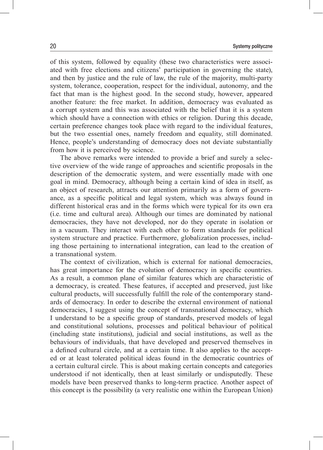of this system, followed by equality (these two characteristics were associated with free elections and citizens' participation in governing the state), and then by justice and the rule of law, the rule of the majority, multi-party system, tolerance, cooperation, respect for the individual, autonomy, and the fact that man is the highest good. In the second study, however, appeared another feature: the free market. In addition, democracy was evaluated as a corrupt system and this was associated with the belief that it is a system which should have a connection with ethics or religion. During this decade, certain preference changes took place with regard to the individual features, but the two essential ones, namely freedom and equality, still dominated. Hence, people's understanding of democracy does not deviate substantially from how it is perceived by science.

The above remarks were intended to provide a brief and surely a selective overview of the wide range of approaches and scientific proposals in the description of the democratic system, and were essentially made with one goal in mind. Democracy, although being a certain kind of idea in itself, as an object of research, attracts our attention primarily as a form of governance, as a specific political and legal system, which was always found in different historical eras and in the forms which were typical for its own era (i.e. time and cultural area). Although our times are dominated by national democracies, they have not developed, nor do they operate in isolation or in a vacuum. They interact with each other to form standards for political system structure and practice. Furthermore, globalization processes, including those pertaining to international integration, can lead to the creation of a transnational system.

The context of civilization, which is external for national democracies, has great importance for the evolution of democracy in specific countries. As a result, a common plane of similar features which are characteristic of a democracy, is created. These features, if accepted and preserved, just like cultural products, will successfully fulfill the role of the contemporary stand– ards of democracy. In order to describe the external environment of national democracies, I suggest using the concept of transnational democracy, which I understand to be a specific group of standards, preserved models of legal and constitutional solutions, processes and political behaviour of political (including state institutions), judicial and social institutions, as well as the behaviours of individuals, that have developed and preserved themselves in a defined cultural circle, and at a certain time. It also applies to the accepted or at least tolerated political ideas found in the democratic countries of a certain cultural circle. This is about making certain concepts and categories understood if not identically, then at least similarly or undisputedly. These models have been preserved thanks to long‑term practice. Another aspect of this concept is the possibility (a very realistic one within the European Union)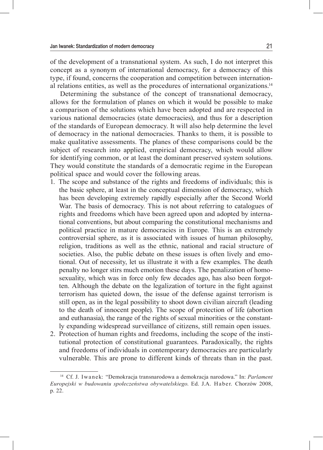of the development of a transnational system. As such, I do not interpret this concept as a synonym of international democracy, for a democracy of this type, if found, concerns the cooperation and competition between internation– al relations entities, as well as the procedures of international organizations.14

Determining the substance of the concept of transnational democracy, allows for the formulation of planes on which it would be possible to make a comparison of the solutions which have been adopted and are respected in various national democracies (state democracies), and thus for a description of the standards of European democracy. It will also help determine the level of democracy in the national democracies. Thanks to them, it is possible to make qualitative assessments. The planes of these comparisons could be the subject of research into applied, empirical democracy, which would allow for identifying common, or at least the dominant preserved system solutions. They would constitute the standards of a democratic regime in the European political space and would cover the following areas.

- 1. The scope and substance of the rights and freedoms of individuals; this is the basic sphere, at least in the conceptual dimension of democracy, which has been developing extremely rapidly especially after the Second World War. The basis of democracy. This is not about referring to catalogues of rights and freedoms which have been agreed upon and adopted by international conventions, but about comparing the constitutional mechanisms and political practice in mature democracies in Europe. This is an extremely controversial sphere, as it is associated with issues of human philosophy, religion, traditions as well as the ethnic, national and racial structure of societies. Also, the public debate on these issues is often lively and emotional. Out of necessity, let us illustrate it with a few examples. The death penalty no longer stirs much emotion these days. The penalization of homosexuality, which was in force only few decades ago, has also been forgotten. Although the debate on the legalization of torture in the fight against terrorism has quieted down, the issue of the defense against terrorism is still open, as in the legal possibility to shoot down civilian aircraft (leading to the death of innocent people). The scope of protection of life (abortion and euthanasia), the range of the rights of sexual minorities or the constant– ly expanding widespread surveillance of citizens, still remain open issues.
- 2. Protection of human rights and freedoms, including the scope of the institutional protection of constitutional guarantees. Paradoxically, the rights and freedoms of individuals in contemporary democracies are particularly vulnerable. This are prone to different kinds of threats than in the past.

<sup>14</sup> Cf. J. Iwanek: "Demokracja transnarodowa a demokracja narodowa." In: *Parlament Europejski w budowaniu społeczeństwa obywatelskiego*. Ed. J.A. Haber. Chorzów 2008, p. 22.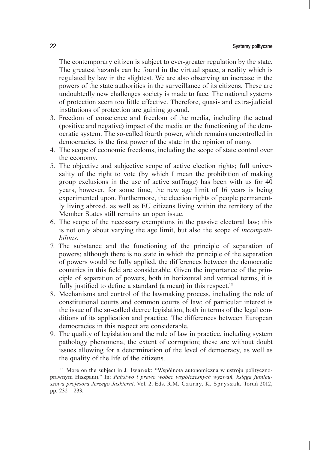The contemporary citizen is subject to ever-greater regulation by the state. The greatest hazards can be found in the virtual space, a reality which is regulated by law in the slightest. We are also observing an increase in the powers of the state authorities in the surveillance of its citizens. These are undoubtedly new challenges society is made to face. The national systems of protection seem too little effective. Therefore, quasi- and extra-judicial institutions of protection are gaining ground.

- 3. Freedom of conscience and freedom of the media, including the actual (positive and negative) impact of the media on the functioning of the dem‑ ocratic system. The so-called fourth power, which remains uncontrolled in democracies, is the first power of the state in the opinion of many.
- 4. The scope of economic freedoms, including the scope of state control over the economy.
- 5. The objective and subjective scope of active election rights; full universality of the right to vote (by which I mean the prohibition of making group exclusions in the use of active suffrage) has been with us for 40 years, however, for some time, the new age limit of 16 years is being experimented upon. Furthermore, the election rights of people permanent– ly living abroad, as well as EU citizens living within the territory of the Member States still remains an open issue.
- 6. The scope of the necessary exemptions in the passive electoral law; this is not only about varying the age limit, but also the scope of *incompatibilitas*.
- 7. The substance and the functioning of the principle of separation of powers; although there is no state in which the principle of the separation of powers would be fully applied, the differences between the democratic countries in this field are considerable. Given the importance of the principle of separation of powers, both in horizontal and vertical terms, it is fully justified to define a standard (a mean) in this respect.<sup>15</sup>
- 8. Mechanisms and control of the lawmaking process, including the role of constitutional courts and common courts of law; of particular interest is the issue of the so-called decree legislation, both in terms of the legal conditions of its application and practice. The differences between European democracies in this respect are considerable.
- 9. The quality of legislation and the rule of law in practice, including system pathology phenomena, the extent of corruption; these are without doubt issues allowing for a determination of the level of democracy, as well as the quality of the life of the citizens.

 $15$  More on the subject in J. Iwanek: "Wspólnota autonomiczna w ustroju politycznoprawnym Hiszpanii." In: *Państwo i prawo wobec współczesnych wyzwań, księga jubileuszowa profesora Jerzego Jaskierni*. Vol. 2. Eds. R.M. Czar ny, K. Spr ysza k. Toruń 2012, pp. 232—233.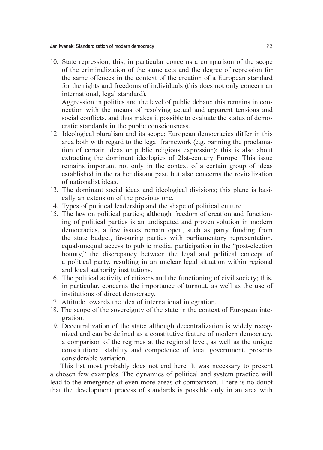- 10. State repression; this, in particular concerns a comparison of the scope of the criminalization of the same acts and the degree of repression for the same offences in the context of the creation of a European standard for the rights and freedoms of individuals (this does not only concern an international, legal standard).
- 11. Aggression in politics and the level of public debate; this remains in connection with the means of resolving actual and apparent tensions and social conflicts, and thus makes it possible to evaluate the status of democratic standards in the public consciousness.
- 12. Ideological pluralism and its scope; European democracies differ in this area both with regard to the legal framework (e.g. banning the proclamation of certain ideas or public religious expression); this is also about extracting the dominant ideologies of 21st-century Europe. This issue remains important not only in the context of a certain group of ideas established in the rather distant past, but also concerns the revitalization of nationalist ideas.
- 13. The dominant social ideas and ideological divisions; this plane is basically an extension of the previous one.
- 14. Types of political leadership and the shape of political culture.
- 15. The law on political parties; although freedom of creation and functioning of political parties is an undisputed and proven solution in modern democracies, a few issues remain open, such as party funding from the state budget, favouring parties with parliamentary representation, equal-unequal access to public media, participation in the "post-election" bounty," the discrepancy between the legal and political concept of a political party, resulting in an unclear legal situation within regional and local authority institutions.
- 16. The political activity of citizens and the functioning of civil society; this, in particular, concerns the importance of turnout, as well as the use of institutions of direct democracy.
- 17. Attitude towards the idea of international integration.
- 18. The scope of the sovereignty of the state in the context of European inte‑ gration.
- 19. Decentralization of the state; although decentralization is widely recognized and can be defined as a constitutive feature of modern democracy, a comparison of the regimes at the regional level, as well as the unique constitutional stability and competence of local government, presents considerable variation.

This list most probably does not end here. It was necessary to present a chosen few examples. The dynamics of political and system practice will lead to the emergence of even more areas of comparison. There is no doubt that the development process of standards is possible only in an area with